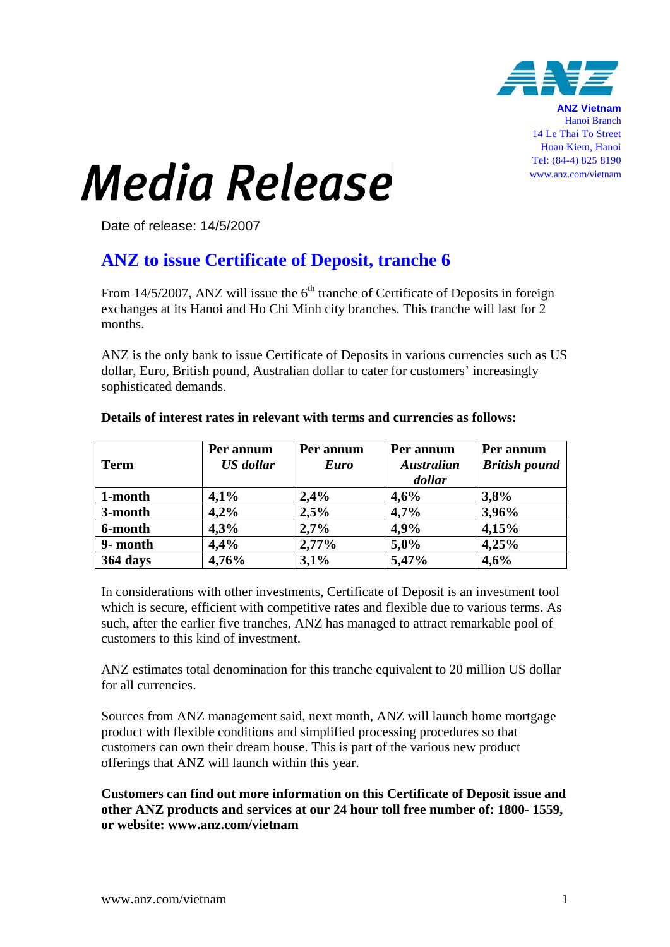

**ANZ Vietnam** Hanoi Branch 14 Le Thai To Street Hoan Kiem, Hanoi Tel: (84-4) 825 8190 www.anz.com/vietnam

## **Media Release**

Date of release: 14/5/2007

## **ANZ to issue Certificate of Deposit, tranche 6**

From 14/5/2007, ANZ will issue the  $6<sup>th</sup>$  tranche of Certificate of Deposits in foreign exchanges at its Hanoi and Ho Chi Minh city branches. This tranche will last for 2 months.

ANZ is the only bank to issue Certificate of Deposits in various currencies such as US dollar, Euro, British pound, Australian dollar to cater for customers' increasingly sophisticated demands.

|                 | Per annum        | Per annum   | Per annum         | Per annum            |
|-----------------|------------------|-------------|-------------------|----------------------|
| Term            | <b>US</b> dollar | <b>Euro</b> | <b>Australian</b> | <b>British pound</b> |
|                 |                  |             | dollar            |                      |
| 1-month         | 4,1%             | 2,4%        | 4,6%              | 3,8%                 |
| 3-month         | 4,2%             | 2,5%        | 4,7%              | 3,96%                |
| 6-month         | 4,3%             | 2,7%        | 4,9%              | 4,15%                |
| 9- month        | 4,4%             | $2,77\%$    | 5,0%              | 4,25%                |
| <b>364 days</b> | 4,76%            | 3,1%        | 5,47%             | 4,6%                 |

## **Details of interest rates in relevant with terms and currencies as follows:**

In considerations with other investments, Certificate of Deposit is an investment tool which is secure, efficient with competitive rates and flexible due to various terms. As such, after the earlier five tranches, ANZ has managed to attract remarkable pool of customers to this kind of investment.

ANZ estimates total denomination for this tranche equivalent to 20 million US dollar for all currencies.

Sources from ANZ management said, next month, ANZ will launch home mortgage product with flexible conditions and simplified processing procedures so that customers can own their dream house. This is part of the various new product offerings that ANZ will launch within this year.

**Customers can find out more information on this Certificate of Deposit issue and other ANZ products and services at our 24 hour toll free number of: 1800- 1559, or website: www.anz.com/vietnam**